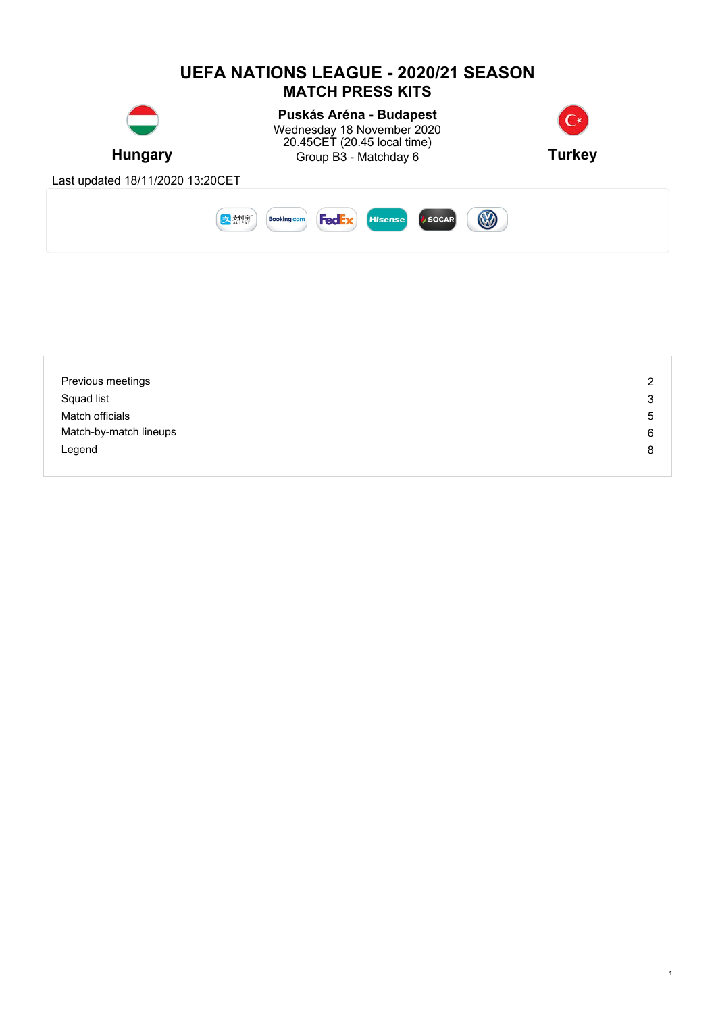

| Previous meetings      | 2 |
|------------------------|---|
| Squad list             | 3 |
| Match officials        | 5 |
| Match-by-match lineups | 6 |
| Legend                 | 8 |
|                        |   |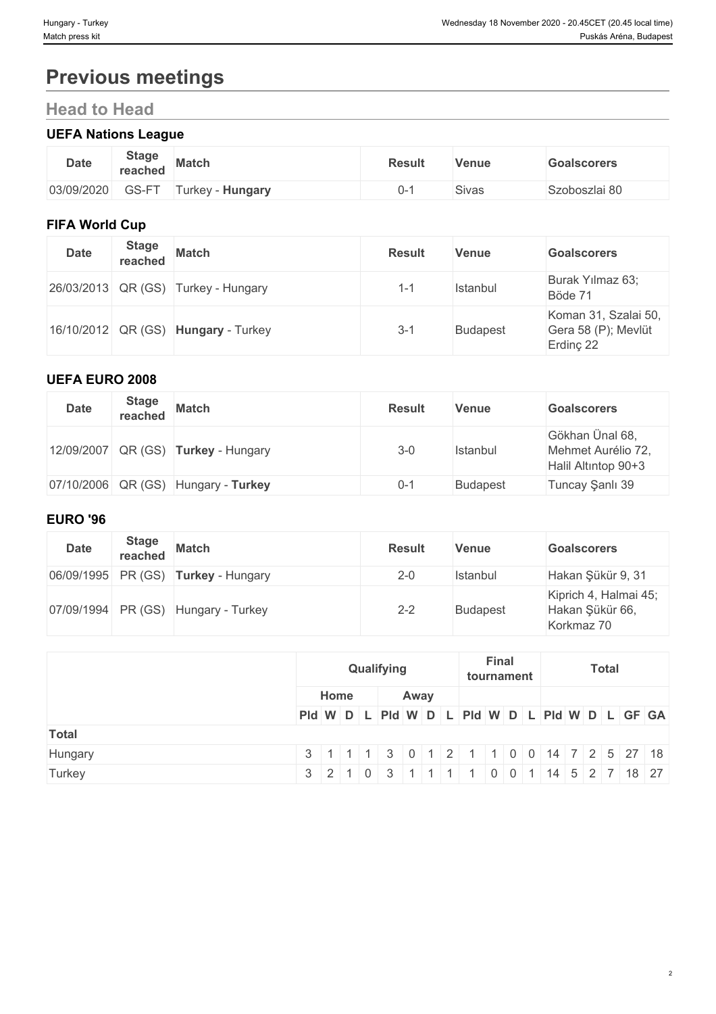# **Previous meetings**

# **Head to Head**

# **UEFA Nations League**

| <b>Date</b> | <b>Stage</b><br>reached | <b>Match</b>              | Result | Venue             | Goalscorers   |
|-------------|-------------------------|---------------------------|--------|-------------------|---------------|
| 03/09/2020  | GS-F<br>___             | <b>Hungary</b><br>urkey - |        | <b>.</b><br>Sivas | Szoboszlai 80 |

# **FIFA World Cup**

| <b>Date</b> | <b>Stage</b> | reached Match                              | <b>Result</b> | <b>Venue</b>    | <b>Goalscorers</b>                                       |
|-------------|--------------|--------------------------------------------|---------------|-----------------|----------------------------------------------------------|
|             |              | 26/03/2013 QR (GS) Turkey - Hungary        | $1 - 1$       | Istanbul        | Burak Yılmaz 63;<br>Böde 71                              |
|             |              | 16/10/2012 QR (GS) <b>Hungary</b> - Turkey | $3 - 1$       | <b>Budapest</b> | Koman 31, Szalai 50,<br>Gera 58 (P); Mevlüt<br>Erdinç 22 |

# **UEFA EURO 2008**

| <b>Date</b> | <b>Stage</b><br>reached | <b>Match</b>                        | <b>Result</b> | Venue           | <b>Goalscorers</b>                                           |
|-------------|-------------------------|-------------------------------------|---------------|-----------------|--------------------------------------------------------------|
|             |                         | 12/09/2007 QR (GS) Turkey - Hungary | $3 - 0$       | Istanbul        | Gökhan Ünal 68,<br>Mehmet Aurélio 72,<br>Halil Altıntop 90+3 |
|             |                         | 07/10/2006 QR (GS) Hungary - Turkey | O-1           | <b>Budapest</b> | Tuncay Şanlı 39                                              |

# **EURO '96**

| <b>Date</b>        | <b>Stage</b><br>reached | <b>Match</b>                        | <b>Result</b> | Venue           | <b>Goalscorers</b>                                     |
|--------------------|-------------------------|-------------------------------------|---------------|-----------------|--------------------------------------------------------|
| 06/09/1995 PR (GS) |                         | <b>Turkey - Hungary</b>             | $2 - 0$       | Istanbul        | Hakan Şükür 9, 31                                      |
|                    |                         | 07/09/1994 PR (GS) Hungary - Turkey | $2 - 2$       | <b>Budapest</b> | Kiprich 4, Halmai 45;<br>Hakan Şükür 66,<br>Korkmaz 70 |

|              |      | Qualifying | <b>Final</b><br>tournament | <b>Total</b>                                                                                                                  |  |  |
|--------------|------|------------|----------------------------|-------------------------------------------------------------------------------------------------------------------------------|--|--|
|              | Home | Away       |                            |                                                                                                                               |  |  |
|              |      |            |                            | Pid W D L Pid W D L Pid W D L Pid W D L GF GA                                                                                 |  |  |
| <b>Total</b> |      |            |                            |                                                                                                                               |  |  |
| Hungary      |      |            |                            | $3   1   1   1   3   0   1   2   1   1   0   0   14   7   2   5   27   18  $                                                  |  |  |
| Turkey       |      |            |                            | $3 \mid 2 \mid 1 \mid 0 \mid 3 \mid 1 \mid 1 \mid 1 \mid 1 \mid 0 \mid 0 \mid 1 \mid 14 \mid 5 \mid 2 \mid 7 \mid 18 \mid 27$ |  |  |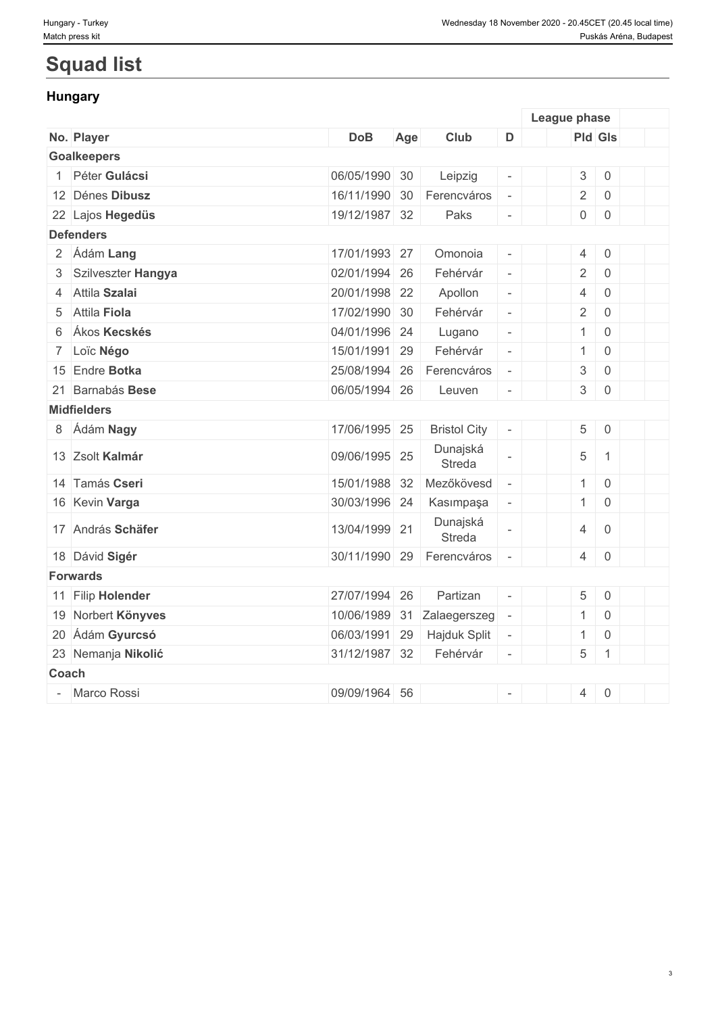# **Squad list**

# **Hungary**

|              |                      |               |     |                     |                          | League phase              |                     |  |
|--------------|----------------------|---------------|-----|---------------------|--------------------------|---------------------------|---------------------|--|
|              | No. Player           | <b>DoB</b>    | Age | Club                | D                        | <b>Pld Gls</b>            |                     |  |
|              | <b>Goalkeepers</b>   |               |     |                     |                          |                           |                     |  |
|              | Péter Gulácsi        | 06/05/1990 30 |     | Leipzig             | $\overline{\phantom{a}}$ | 3                         | $\mathbf 0$         |  |
|              | 12 Dénes Dibusz      | 16/11/1990    | 30  | Ferencváros         | $\equiv$                 | $\overline{2}$            | $\mathbf 0$         |  |
|              | 22 Lajos Hegedüs     | 19/12/1987 32 |     | Paks                | $\bar{a}$                | $\overline{0}$            | $\overline{0}$      |  |
|              | <b>Defenders</b>     |               |     |                     |                          |                           |                     |  |
|              | 2 Ádám Lang          | 17/01/1993 27 |     | Omonoia             | $\overline{\phantom{a}}$ | 4                         | $\mathbf 0$         |  |
|              | 3 Szilveszter Hangya | 02/01/1994    | 26  | Fehérvár            | $\overline{\phantom{a}}$ | $\overline{2}$            | $\mathbf 0$         |  |
|              | 4 Attila Szalai      | 20/01/1998    | 22  | Apollon             | $\overline{\phantom{a}}$ | $\overline{4}$            | $\mathbf 0$         |  |
|              | 5 Attila Fiola       | 17/02/1990    | 30  | Fehérvár            | $\equiv$                 | $\overline{2}$            | $\mathbf 0$         |  |
| 6            | Ákos Kecskés         | 04/01/1996    | 24  | Lugano              | $\overline{\phantom{a}}$ | $\mathbf{1}$              | $\mathbf 0$         |  |
|              | 7 Loïc Négo          | 15/01/1991    | 29  | Fehérvár            | $\omega$                 | $\mathbf{1}$              | $\mathbf 0$         |  |
|              | 15 Endre Botka       | 25/08/1994    | 26  | Ferencváros         |                          | $\ensuremath{\mathsf{3}}$ | $\mathbf 0$         |  |
|              | 21 Barnabás Bese     | 06/05/1994 26 |     | Leuven              |                          | $\mathfrak{S}$            | $\mathbf 0$         |  |
|              | <b>Midfielders</b>   |               |     |                     |                          |                           |                     |  |
|              | 8 Ádám Nagy          | 17/06/1995 25 |     | <b>Bristol City</b> | $\blacksquare$           | 5 <sup>1</sup>            | $\mathbf 0$         |  |
|              | 13 Zsolt Kalmár      | 09/06/1995 25 |     | Dunajská<br>Streda  | $\sim$                   | $\,$ 5 $\,$               | $\mathbf{1}$        |  |
|              | 14 Tamás Cseri       | 15/01/1988 32 |     | Mezőkövesd          | $\equiv$                 | 1                         | $\mathbf 0$         |  |
|              | 16 Kevin Varga       | 30/03/1996    | 24  | Kasımpaşa           | $\overline{\phantom{a}}$ | $\mathbf{1}$              | $\mathbf 0$         |  |
|              | 17 András Schäfer    | 13/04/1999 21 |     | Dunajská<br>Streda  |                          | $\overline{4}$            | $\overline{0}$      |  |
|              | 18 Dávid Sigér       | 30/11/1990    | 29  | Ferencváros         |                          | $\overline{4}$            | $\mathbf 0$         |  |
|              | <b>Forwards</b>      |               |     |                     |                          |                           |                     |  |
|              | 11 Filip Holender    | 27/07/1994    | 26  | Partizan            | $\equiv$                 | 5                         | $\mathsf{O}\xspace$ |  |
|              | 19 Norbert Könyves   | 10/06/1989    | 31  | Zalaegerszeg        | $\overline{\phantom{a}}$ | $\mathbf{1}$              | $\mathsf{O}\xspace$ |  |
|              | 20 Ádám Gyurcsó      | 06/03/1991    | 29  | Hajduk Split        | $\overline{\phantom{a}}$ | $\mathbf{1}$              | $\mathbf 0$         |  |
|              | 23 Nemanja Nikolić   | 31/12/1987 32 |     | Fehérvár            |                          | $\overline{5}$            | $\overline{1}$      |  |
| <b>Coach</b> |                      |               |     |                     |                          |                           |                     |  |
|              | - Marco Rossi        | 09/09/1964 56 |     |                     |                          | $\overline{4}$            | $\mathbf 0$         |  |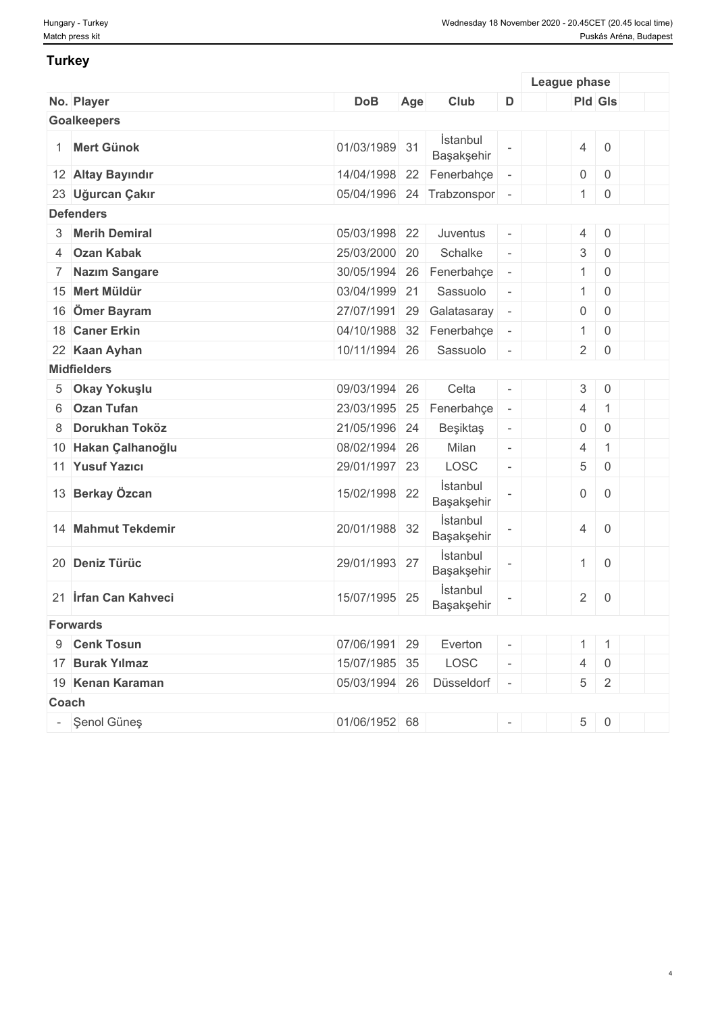## **Turkey**

|                             |               |     |                        |                          | League phase     |                     |  |
|-----------------------------|---------------|-----|------------------------|--------------------------|------------------|---------------------|--|
| No. Player                  | <b>DoB</b>    | Age | Club                   | D                        | Pld Gls          |                     |  |
| <b>Goalkeepers</b>          |               |     |                        |                          |                  |                     |  |
| <b>Mert Günok</b>           | 01/03/1989 31 |     | İstanbul<br>Başakşehir |                          | $\overline{4}$   | $\mathsf{O}\xspace$ |  |
| 12 Altay Bayındır           | 14/04/1998    | 22  | Fenerbahçe             |                          | $\boldsymbol{0}$ | $\mathsf{O}\xspace$ |  |
| 23 Uğurcan Çakır            | 05/04/1996    | 24  | Trabzonspor -          |                          | $\mathbf{1}$     | $\boldsymbol{0}$    |  |
| <b>Defenders</b>            |               |     |                        |                          |                  |                     |  |
| 3 Merih Demiral             | 05/03/1998 22 |     | Juventus               | $\overline{\phantom{a}}$ | 4                | $\mathsf{O}\xspace$ |  |
| 4 Ozan Kabak                | 25/03/2000 20 |     | Schalke                | $\overline{\phantom{a}}$ | $\mathfrak{S}$   | $\mathbf 0$         |  |
| 7 Nazim Sangare             | 30/05/1994    | 26  | Fenerbahçe             | $\overline{\phantom{a}}$ | $\mathbf{1}$     | $\mathbf 0$         |  |
| 15 Mert Müldür              | 03/04/1999    | 21  | Sassuolo               | $\overline{\phantom{a}}$ | $\mathbf{1}$     | $\mathsf{O}\xspace$ |  |
| 16 Ömer Bayram              | 27/07/1991    | 29  | Galatasaray            | $\overline{\phantom{a}}$ | $\mathbf 0$      | $\mathbf 0$         |  |
| 18 Caner Erkin              | 04/10/1988 32 |     | Fenerbahçe             | $\overline{\phantom{a}}$ | $\mathbf{1}$     | $\mathsf{O}\xspace$ |  |
| 22 Kaan Ayhan               | 10/11/1994 26 |     | Sassuolo               | $\overline{\phantom{a}}$ | $\overline{2}$   | $\mathsf 0$         |  |
| <b>Midfielders</b>          |               |     |                        |                          |                  |                     |  |
| 5 Okay Yokuşlu              | 09/03/1994 26 |     | Celta                  | $\equiv$                 | 3                | $\mathsf 0$         |  |
| 6 Ozan Tufan                | 23/03/1995    | 25  | Fenerbahçe             | $\overline{\phantom{a}}$ | $\overline{4}$   | $\mathbf{1}$        |  |
| 8 Dorukhan Toköz            | 21/05/1996 24 |     | Beşiktaş               | $\overline{\phantom{a}}$ | $\overline{0}$   | $\mathbf 0$         |  |
| 10 Hakan Çalhanoğlu         | 08/02/1994 26 |     | Milan                  | $\overline{\phantom{a}}$ | 4                | $\mathbf{1}$        |  |
| 11 Yusuf Yazıcı             | 29/01/1997 23 |     | <b>LOSC</b>            | $\omega$                 | 5                | $\mathbf 0$         |  |
| 13 Berkay Özcan             | 15/02/1998 22 |     | İstanbul<br>Başakşehir |                          | $\boldsymbol{0}$ | $\mathbf 0$         |  |
| 14 Mahmut Tekdemir          | 20/01/1988 32 |     | İstanbul<br>Başakşehir |                          | $\overline{4}$   | $\mathsf 0$         |  |
| 20 Deniz Türüc              | 29/01/1993 27 |     | İstanbul<br>Başakşehir |                          | $\mathbf{1}$     | $\mathsf{O}\xspace$ |  |
| 21 <i>Irfan Can Kahveci</i> | 15/07/1995 25 |     | İstanbul<br>Başakşehir |                          | $\sqrt{2}$       | $\mathbf 0$         |  |
| <b>Forwards</b>             |               |     |                        |                          |                  |                     |  |
| 9 Cenk Tosun                | 07/06/1991 29 |     | Everton                |                          | $1 \mid 1$       |                     |  |
| 17 Burak Yılmaz             | 15/07/1985 35 |     | LOSC                   | $\overline{\phantom{a}}$ | 4                | $\boldsymbol{0}$    |  |
| 19 Kenan Karaman            | 05/03/1994 26 |     | Düsseldorf             | $\overline{\phantom{a}}$ | 5 <sup>5</sup>   | $\overline{2}$      |  |
| Coach                       |               |     |                        |                          |                  |                     |  |
| - Şenol Güneş               | 01/06/1952 68 |     |                        | $\sim$ $^{-1}$           |                  | $5\quad 0$          |  |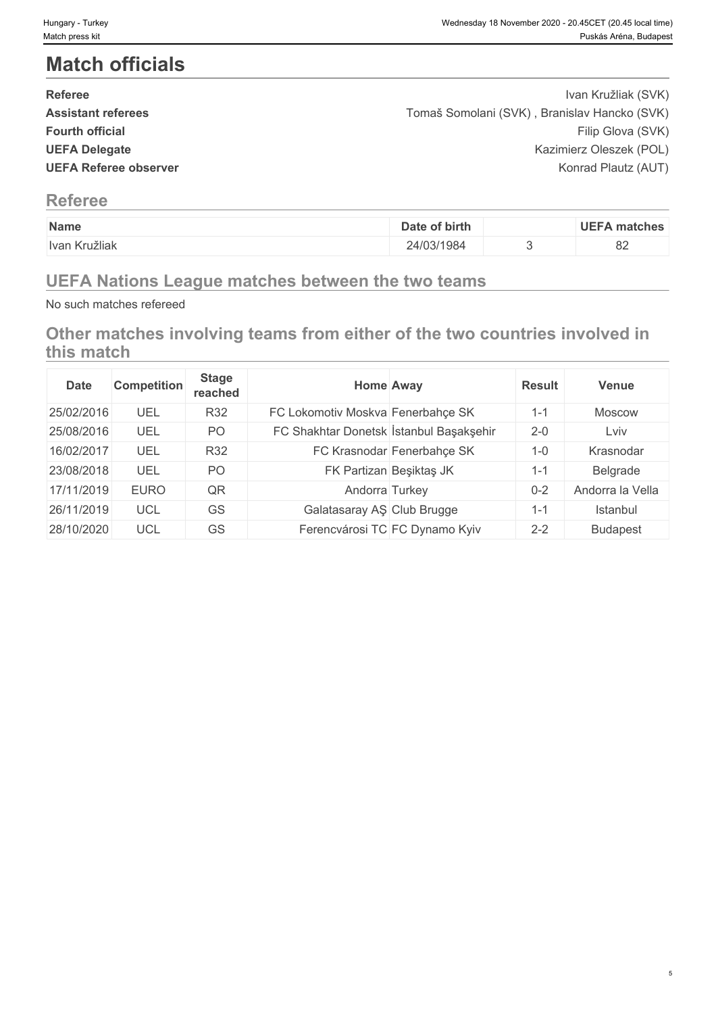# **Match officials**

| <b>Referee</b>               | Ivan Kružliak (SVK)                          |  |
|------------------------------|----------------------------------------------|--|
| <b>Assistant referees</b>    | Tomaš Somolani (SVK), Branislav Hancko (SVK) |  |
| <b>Fourth official</b>       | Filip Glova (SVK)                            |  |
| <b>UEFA Delegate</b>         | Kazimierz Oleszek (POL)                      |  |
| <b>UEFA Referee observer</b> | Konrad Plautz (AUT)                          |  |
|                              |                                              |  |

# **Referee**

| Name          | Date of birth | <b>UEFA</b><br><b>matches</b> |
|---------------|---------------|-------------------------------|
| Ivan Kružliak | 24/03/1984    | $\Omega$<br>○∠                |

# **UEFA Nations League matches between the two teams**

No such matches refereed

**Other matches involving teams from either of the two countries involved in this match**

| Date       | <b>Competition</b> | <b>Stage</b><br>reached |                                         | <b>Home Away</b>               | <b>Result</b> | Venue            |
|------------|--------------------|-------------------------|-----------------------------------------|--------------------------------|---------------|------------------|
| 25/02/2016 | UEL                | R32                     | FC Lokomotiv Moskva Fenerbahçe SK       |                                | $1 - 1$       | <b>Moscow</b>    |
| 25/08/2016 | UEL                | PO.                     | FC Shakhtar Donetsk Istanbul Başakşehir |                                | $2 - 0$       | Lviv             |
| 16/02/2017 | UEL                | <b>R32</b>              |                                         | FC Krasnodar Fenerbahçe SK     | $1 - 0$       | Krasnodar        |
| 23/08/2018 | UEL                | P <sub>O</sub>          |                                         | FK Partizan Beşiktaş JK        | 1-1           | Belgrade         |
| 17/11/2019 | <b>EURO</b>        | QR                      | Andorra Turkey                          |                                | $0 - 2$       | Andorra la Vella |
| 26/11/2019 | <b>UCL</b>         | GS                      | Galatasaray AS Club Brugge              |                                | $1 - 1$       | Istanbul         |
| 28/10/2020 | <b>UCL</b>         | GS                      |                                         | Ferencvárosi TC FC Dynamo Kyiv | $2 - 2$       | <b>Budapest</b>  |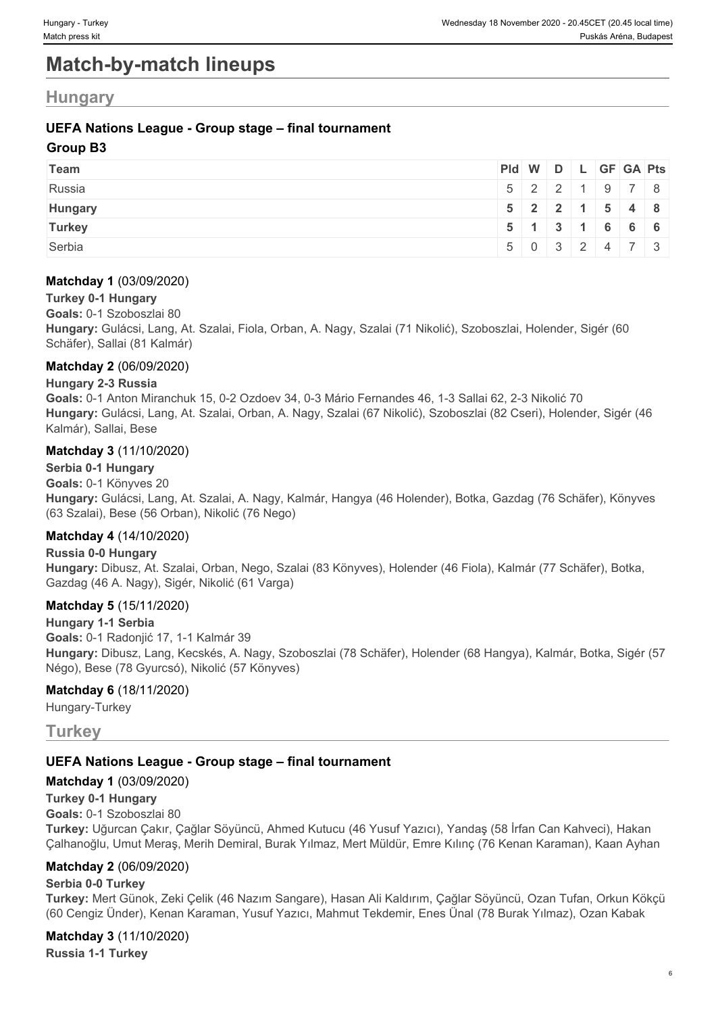# **Match-by-match lineups**

# **Hungary**

# **UEFA Nations League - Group stage – final tournament**

# **Group B3**

| Team           | Pid W D L GF GA Pts |  |  |                             |  |
|----------------|---------------------|--|--|-----------------------------|--|
| Russia         |                     |  |  | $5$   2   2   1   9   7   8 |  |
| <b>Hungary</b> |                     |  |  | $5$   2   2   1   5   4   8 |  |
| <b>Turkey</b>  |                     |  |  | 5 1 3 1 6 6 6               |  |
| Serbia         |                     |  |  | 5 0 3 2 4 7 3               |  |

## **Matchday 1** (03/09/2020)

### **Turkey 0-1 Hungary**

**Goals:** 0-1 Szoboszlai 80

**Hungary:** Gulácsi, Lang, At. Szalai, Fiola, Orban, A. Nagy, Szalai (71 Nikolić), Szoboszlai, Holender, Sigér (60 Schäfer), Sallai (81 Kalmár)

### **Matchday 2** (06/09/2020)

### **Hungary 2-3 Russia**

**Goals:** 0-1 Anton Miranchuk 15, 0-2 Ozdoev 34, 0-3 Mário Fernandes 46, 1-3 Sallai 62, 2-3 Nikolić 70 **Hungary:** Gulácsi, Lang, At. Szalai, Orban, A. Nagy, Szalai (67 Nikolić), Szoboszlai (82 Cseri), Holender, Sigér (46 Kalmár), Sallai, Bese

### **Matchday 3** (11/10/2020)

### **Serbia 0-1 Hungary**

**Goals:** 0-1 Könyves 20 **Hungary:** Gulácsi, Lang, At. Szalai, A. Nagy, Kalmár, Hangya (46 Holender), Botka, Gazdag (76 Schäfer), Könyves (63 Szalai), Bese (56 Orban), Nikolić (76 Nego)

## **Matchday 4** (14/10/2020)

### **Russia 0-0 Hungary**

**Hungary:** Dibusz, At. Szalai, Orban, Nego, Szalai (83 Könyves), Holender (46 Fiola), Kalmár (77 Schäfer), Botka, Gazdag (46 A. Nagy), Sigér, Nikolić (61 Varga)

## **Matchday 5** (15/11/2020)

**Hungary 1-1 Serbia Goals:** 0-1 Radonjić 17, 1-1 Kalmár 39 **Hungary:** Dibusz, Lang, Kecskés, A. Nagy, Szoboszlai (78 Schäfer), Holender (68 Hangya), Kalmár, Botka, Sigér (57 Négo), Bese (78 Gyurcsó), Nikolić (57 Könyves)

### **Matchday 6** (18/11/2020)

Hungary-Turkey

# **Turkey**

## **UEFA Nations League - Group stage – final tournament**

### **Matchday 1** (03/09/2020)

### **Turkey 0-1 Hungary**

#### **Goals:** 0-1 Szoboszlai 80

**Turkey:** Uğurcan Çakır, Çağlar Söyüncü, Ahmed Kutucu (46 Yusuf Yazıcı), Yandaş (58 İrfan Can Kahveci), Hakan Çalhanoğlu, Umut Meraş, Merih Demiral, Burak Yılmaz, Mert Müldür, Emre Kılınç (76 Kenan Karaman), Kaan Ayhan

## **Matchday 2** (06/09/2020)

### **Serbia 0-0 Turkey**

**Turkey:** Mert Günok, Zeki Çelik (46 Nazım Sangare), Hasan Ali Kaldırım, Çağlar Söyüncü, Ozan Tufan, Orkun Kökçü (60 Cengiz Ünder), Kenan Karaman, Yusuf Yazıcı, Mahmut Tekdemir, Enes Ünal (78 Burak Yılmaz), Ozan Kabak

**Matchday 3** (11/10/2020) **Russia 1-1 Turkey**

6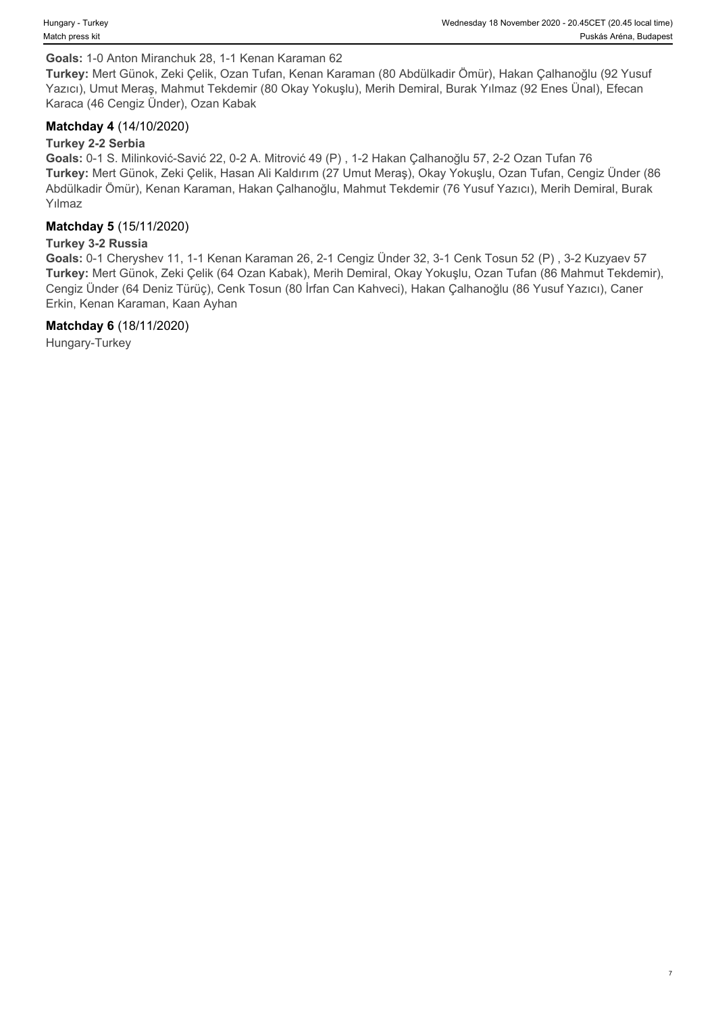#### **Goals:** 1-0 Anton Miranchuk 28, 1-1 Kenan Karaman 62

**Turkey:** Mert Günok, Zeki Çelik, Ozan Tufan, Kenan Karaman (80 Abdülkadir Ömür), Hakan Çalhanoğlu (92 Yusuf Yazıcı), Umut Meraş, Mahmut Tekdemir (80 Okay Yokuşlu), Merih Demiral, Burak Yılmaz (92 Enes Ünal), Efecan Karaca (46 Cengiz Ünder), Ozan Kabak

### **Matchday 4** (14/10/2020)

### **Turkey 2-2 Serbia**

**Goals:** 0-1 S. Milinković-Savić 22, 0-2 A. Mitrović 49 (P) , 1-2 Hakan Çalhanoğlu 57, 2-2 Ozan Tufan 76 **Turkey:** Mert Günok, Zeki Çelik, Hasan Ali Kaldırım (27 Umut Meraş), Okay Yokuşlu, Ozan Tufan, Cengiz Ünder (86 Abdülkadir Ömür), Kenan Karaman, Hakan Çalhanoğlu, Mahmut Tekdemir (76 Yusuf Yazıcı), Merih Demiral, Burak Yılmaz

### **Matchday 5** (15/11/2020)

### **Turkey 3-2 Russia**

**Goals:** 0-1 Cheryshev 11, 1-1 Kenan Karaman 26, 2-1 Cengiz Ünder 32, 3-1 Cenk Tosun 52 (P) , 3-2 Kuzyaev 57 **Turkey:** Mert Günok, Zeki Çelik (64 Ozan Kabak), Merih Demiral, Okay Yokuşlu, Ozan Tufan (86 Mahmut Tekdemir), Cengiz Ünder (64 Deniz Türüç), Cenk Tosun (80 İrfan Can Kahveci), Hakan Çalhanoğlu (86 Yusuf Yazıcı), Caner Erkin, Kenan Karaman, Kaan Ayhan

### **Matchday 6** (18/11/2020)

Hungary-Turkey